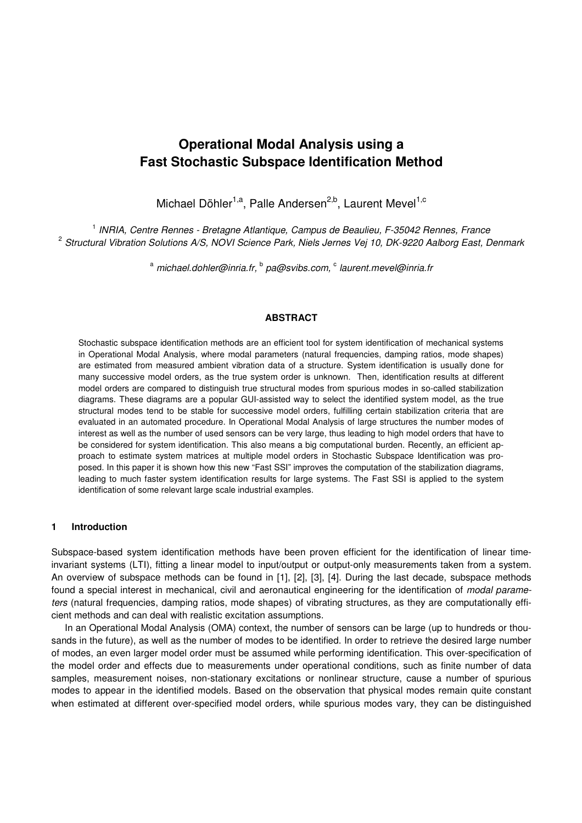# **Operational Modal Analysis using a Fast Stochastic Subspace Identification Method**

Michael Döhler<sup>1,a</sup>, Palle Andersen<sup>2,b</sup>, Laurent Mevel<sup>1,c</sup>

1 *INRIA, Centre Rennes - Bretagne Atlantique, Campus de Beaulieu, F-35042 Rennes, France*  2 *Structural Vibration Solutions A/S, NOVI Science Park, Niels Jernes Vej 10, DK-9220 Aalborg East, Denmark* 

<sup>a</sup> michael.dohler@inria.fr, <sup>b</sup> pa@svibs.com, <sup>c</sup> laurent.mevel@inria.fr

## **ABSTRACT**

Stochastic subspace identification methods are an efficient tool for system identification of mechanical systems in Operational Modal Analysis, where modal parameters (natural frequencies, damping ratios, mode shapes) are estimated from measured ambient vibration data of a structure. System identification is usually done for many successive model orders, as the true system order is unknown. Then, identification results at different model orders are compared to distinguish true structural modes from spurious modes in so-called stabilization diagrams. These diagrams are a popular GUI-assisted way to select the identified system model, as the true structural modes tend to be stable for successive model orders, fulfilling certain stabilization criteria that are evaluated in an automated procedure. In Operational Modal Analysis of large structures the number modes of interest as well as the number of used sensors can be very large, thus leading to high model orders that have to be considered for system identification. This also means a big computational burden. Recently, an efficient approach to estimate system matrices at multiple model orders in Stochastic Subspace Identification was proposed. In this paper it is shown how this new "Fast SSI" improves the computation of the stabilization diagrams, leading to much faster system identification results for large systems. The Fast SSI is applied to the system identification of some relevant large scale industrial examples.

#### **1 Introduction**

Subspace-based system identification methods have been proven efficient for the identification of linear timeinvariant systems (LTI), fitting a linear model to input/output or output-only measurements taken from a system. An overview of subspace methods can be found in [1], [2], [3], [4]. During the last decade, subspace methods found a special interest in mechanical, civil and aeronautical engineering for the identification of *modal parameters* (natural frequencies, damping ratios, mode shapes) of vibrating structures, as they are computationally efficient methods and can deal with realistic excitation assumptions.

In an Operational Modal Analysis (OMA) context, the number of sensors can be large (up to hundreds or thousands in the future), as well as the number of modes to be identified. In order to retrieve the desired large number of modes, an even larger model order must be assumed while performing identification. This over-specification of the model order and effects due to measurements under operational conditions, such as finite number of data samples, measurement noises, non-stationary excitations or nonlinear structure, cause a number of spurious modes to appear in the identified models. Based on the observation that physical modes remain quite constant when estimated at different over-specified model orders, while spurious modes vary, they can be distinguished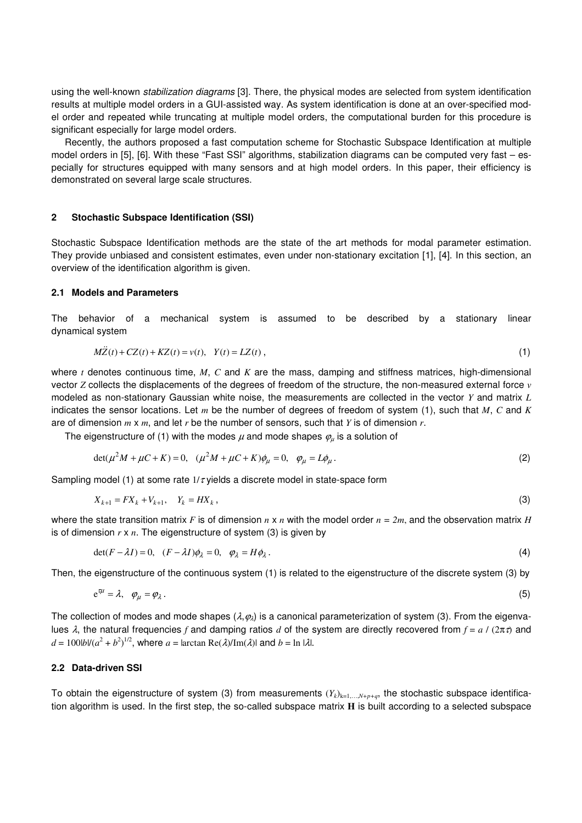using the well-known *stabilization diagrams* [3]. There, the physical modes are selected from system identification results at multiple model orders in a GUI-assisted way. As system identification is done at an over-specified model order and repeated while truncating at multiple model orders, the computational burden for this procedure is significant especially for large model orders.

Recently, the authors proposed a fast computation scheme for Stochastic Subspace Identification at multiple model orders in [5], [6]. With these "Fast SSI" algorithms, stabilization diagrams can be computed very fast – especially for structures equipped with many sensors and at high model orders. In this paper, their efficiency is demonstrated on several large scale structures.

#### **2 Stochastic Subspace Identification (SSI)**

Stochastic Subspace Identification methods are the state of the art methods for modal parameter estimation. They provide unbiased and consistent estimates, even under non-stationary excitation [1], [4]. In this section, an overview of the identification algorithm is given.

#### **2.1 Models and Parameters**

The behavior of a mechanical system is assumed to be described by a stationary linear dynamical system

$$
M\ddot{Z}(t) + CZ(t) + KZ(t) = v(t), \quad Y(t) = LZ(t),
$$
\n(1)

where *t* denotes continuous time, *M*, *C* and *K* are the mass, damping and stiffness matrices, high-dimensional vector *Z* collects the displacements of the degrees of freedom of the structure, the non-measured external force *v*  modeled as non-stationary Gaussian white noise, the measurements are collected in the vector *Y* and matrix *L* indicates the sensor locations. Let *m* be the number of degrees of freedom of system (1), such that *M*, *C* and *K* are of dimension *m* x *m*, and let *r* be the number of sensors, such that *Y* is of dimension *r*.

The eigenstructure of (1) with the modes  $\mu$  and mode shapes  $\varphi_{\mu}$  is a solution of

$$
\det(\mu^2 M + \mu C + K) = 0, \quad (\mu^2 M + \mu C + K)\phi_{\mu} = 0, \quad \phi_{\mu} = L\phi_{\mu}.
$$
 (2)

Sampling model (1) at some rate  $1/\tau$  yields a discrete model in state-space form

$$
X_{k+1} = FX_k + V_{k+1}, \quad Y_k = HX_k, \tag{3}
$$

where the state transition matrix *F* is of dimension *n* x *n* with the model order  $n = 2m$ , and the observation matrix *H* is of dimension *r* x *n*. The eigenstructure of system (3) is given by

$$
\det(F - \lambda I) = 0, \quad (F - \lambda I)\phi_{\lambda} = 0, \quad \phi_{\lambda} = H\phi_{\lambda}.
$$
\n<sup>(4)</sup>

Then, the eigenstructure of the continuous system (1) is related to the eigenstructure of the discrete system (3) by

$$
e^{\tau \mu} = \lambda, \quad \varphi_{\mu} = \varphi_{\lambda} \,. \tag{5}
$$

The collection of modes and mode shapes  $(\lambda, \varphi_\lambda)$  is a canonical parameterization of system (3). From the eigenvalues λ, the natural frequencies *f* and damping ratios d of the system are directly recovered from  $f = a / (2πτ)$  and  $d = 100$ *lb* $\frac{d}{a^2} + b^2$ <sup>1/2</sup>, where  $a = \arctan \text{Re}(\lambda) / \text{Im}(\lambda)$  and  $b = \ln |\lambda|$ .

## **2.2 Data-driven SSI**

To obtain the eigenstructure of system (3) from measurements  $(Y_k)_{k=1,...,N+p+q}$ , the stochastic subspace identification algorithm is used. In the first step, the so-called subspace matrix **H** is built according to a selected subspace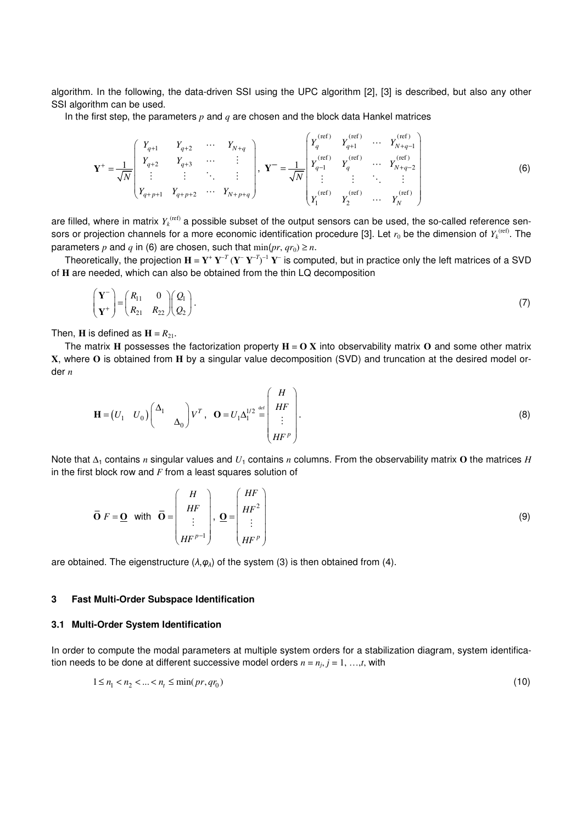algorithm. In the following, the data-driven SSI using the UPC algorithm [2], [3] is described, but also any other SSI algorithm can be used.

In the first step, the parameters *p* and *q* are chosen and the block data Hankel matrices

$$
\mathbf{Y}^{+} = \frac{1}{\sqrt{N}} \begin{pmatrix} Y_{q+1} & Y_{q+2} & \cdots & Y_{N+q} \\ Y_{q+2} & Y_{q+3} & \cdots & \vdots \\ \vdots & \vdots & \ddots & \vdots \\ Y_{q+p+1} & Y_{q+p+2} & \cdots & Y_{N+p+q} \end{pmatrix}, \ \mathbf{Y}^{-} = \frac{1}{\sqrt{N}} \begin{pmatrix} r_{q}^{(ref)} & Y_{q+1}^{(ref)} & \cdots & Y_{N+q-1}^{(ref)} \\ Y_{q-1}^{(ref)} & Y_{q}^{(ref)} & \cdots & Y_{N+q-2}^{(ref)} \\ \vdots & \vdots & \ddots & \vdots \\ Y_{1}^{(ref)} & Y_{2}^{(ref)} & \cdots & Y_{N}^{(ref)} \end{pmatrix}
$$
(6)

are filled, where in matrix  $Y_k^{(\text{ref})}$  a possible subset of the output sensors can be used, the so-called reference sensors or projection channels for a more economic identification procedure [3]. Let  $r_0$  be the dimension of  $Y_k^{(\text{ref})}$ . The parameters *p* and *q* in (6) are chosen, such that  $min(pr, qr_0) \geq n$ .

Theoretically, the projection  $H = Y^+ Y^{-T} (Y^- Y^{-T})^{-1} Y^-$  is computed, but in practice only the left matrices of a SVD of **H** are needed, which can also be obtained from the thin LQ decomposition

$$
\begin{pmatrix} \mathbf{Y}^- \\ \mathbf{Y}^+ \end{pmatrix} = \begin{pmatrix} R_{11} & 0 \\ R_{21} & R_{22} \end{pmatrix} \begin{pmatrix} Q_1 \\ Q_2 \end{pmatrix} . \tag{7}
$$

Then, **H** is defined as  $H = R_{21}$ .

The matrix **H** possesses the factorization property  $H = O X$  into observability matrix  $O$  and some other matrix **X**, where **O** is obtained from **H** by a singular value decomposition (SVD) and truncation at the desired model order *n*

$$
\mathbf{H} = (U_1 \quad U_0) \begin{pmatrix} \Delta_1 & & \\ & \Delta_0 & \end{pmatrix} V^T, \quad \mathbf{O} = U_1 \Delta_1^{1/2} \stackrel{\text{def}}{=} \begin{pmatrix} H \\ HF \\ \vdots \\ HF^p \end{pmatrix}.
$$
 (8)

Note that ∆1 contains *n* singular values and *U*1 contains *n* columns. From the observability matrix **O** the matrices *H* in the first block row and *F* from a least squares solution of

$$
\overline{O} \ F = \underline{O} \quad \text{with} \quad \overline{O} = \begin{pmatrix} H \\ HF \\ \vdots \\ HF^{p-1} \end{pmatrix}, \ \underline{O} = \begin{pmatrix} HF \\ HF^2 \\ \vdots \\ HF^p \end{pmatrix}
$$
 (9)

are obtained. The eigenstructure  $(\lambda, \varphi_\lambda)$  of the system (3) is then obtained from (4).

#### **3 Fast Multi-Order Subspace Identification**

#### **3.1 Multi-Order System Identification**

In order to compute the modal parameters at multiple system orders for a stabilization diagram, system identification needs to be done at different successive model orders  $n = n_j$ ,  $j = 1, ..., t$ , with

$$
1 \le n_1 < n_2 < \dots < n_t \le \min(pr, qr_0) \tag{10}
$$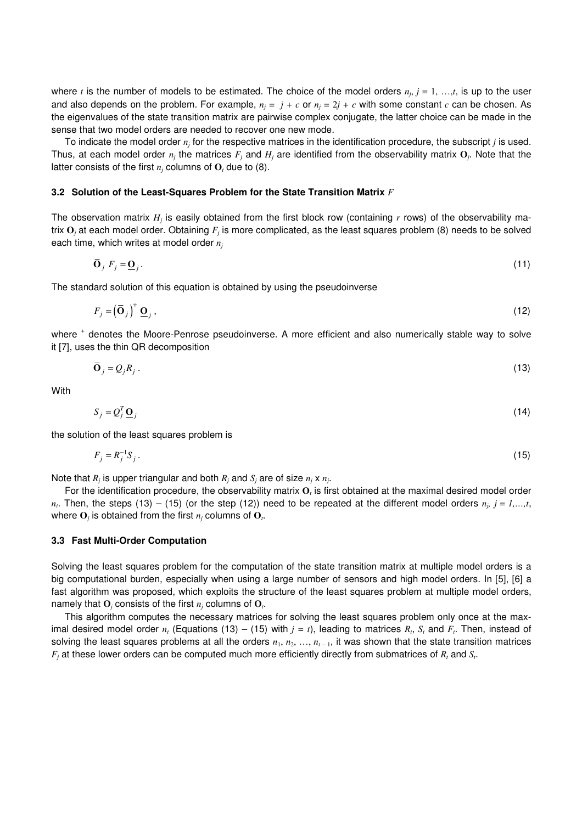where *t* is the number of models to be estimated. The choice of the model orders  $n_j$ ,  $j = 1, ..., t$ , is up to the user and also depends on the problem. For example,  $n_j = j + c$  or  $n_j = 2j + c$  with some constant  $c$  can be chosen. As the eigenvalues of the state transition matrix are pairwise complex conjugate, the latter choice can be made in the sense that two model orders are needed to recover one new mode.

To indicate the model order  $n_j$  for the respective matrices in the identification procedure, the subscript *j* is used. Thus, at each model order  $n_j$  the matrices  $F_j$  and  $H_j$  are identified from the observability matrix  $O_j$ . Note that the latter consists of the first  $n_j$  columns of  $O_t$  due to (8).

## **3.2 Solution of the Least-Squares Problem for the State Transition Matrix** *F*

The observation matrix  $H_j$  is easily obtained from the first block row (containing  $r$  rows) of the observability matrix **O***<sup>j</sup>* at each model order. Obtaining *F<sup>j</sup>* is more complicated, as the least squares problem (8) needs to be solved each time, which writes at model order *n<sup>j</sup>*

$$
\overline{\mathbf{O}}_j \ F_j = \underline{\mathbf{O}}_j. \tag{11}
$$

The standard solution of this equation is obtained by using the pseudoinverse

$$
F_j = \left(\overline{\mathbf{O}}_j\right)^+ \underline{\mathbf{O}}_j \,,\tag{12}
$$

where <sup>+</sup> denotes the Moore-Penrose pseudoinverse. A more efficient and also numerically stable way to solve it [7], uses the thin QR decomposition

$$
\overline{\mathbf{O}}_j = Q_j R_j \,. \tag{13}
$$

**With** 

$$
S_j = Q_j^T \mathbf{\underline{O}}_j \tag{14}
$$

the solution of the least squares problem is

$$
F_j = R_j^{-1} S_j \,. \tag{15}
$$

Note that  $R_j$  is upper triangular and both  $R_j$  and  $S_j$  are of size  $n_j \times n_j$ .

For the identification procedure, the observability matrix  $O_t$  is first obtained at the maximal desired model order *nt* . Then, the steps (13) – (15) (or the step (12)) need to be repeated at the different model orders *n<sup>j</sup> , j = 1,…,t*, where  $O_j$  is obtained from the first  $n_j$  columns of  $O_j$ .

#### **3.3 Fast Multi-Order Computation**

Solving the least squares problem for the computation of the state transition matrix at multiple model orders is a big computational burden, especially when using a large number of sensors and high model orders. In [5], [6] a fast algorithm was proposed, which exploits the structure of the least squares problem at multiple model orders, namely that  $O_j$  consists of the first  $n_j$  columns of  $O_t$ .

This algorithm computes the necessary matrices for solving the least squares problem only once at the maximal desired model order  $n_t$  (Equations (13) – (15) with  $j = t$ ), leading to matrices  $R_t$ ,  $S_t$  and  $F_t$ . Then, instead of solving the least squares problems at all the orders  $n_1, n_2, ..., n_{t-1}$ , it was shown that the state transition matrices  $F_j$  at these lower orders can be computed much more efficiently directly from submatrices of  $R_t$  and  $S_t$ .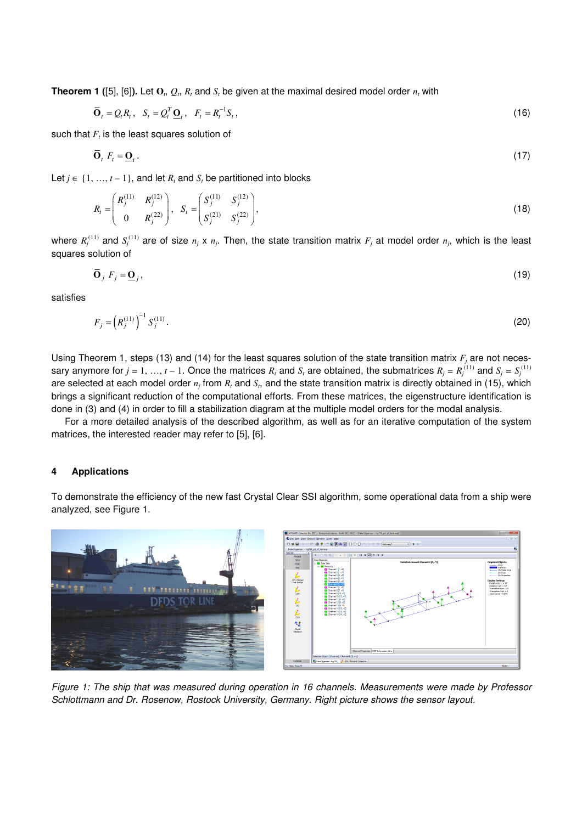**Theorem 1** ([5], [6]). Let  $O_t$ ,  $Q_t$ ,  $R_t$  and  $S_t$  be given at the maximal desired model order  $n_t$  with

$$
\overline{\mathbf{O}}_t = Q_t R_t, \quad S_t = Q_t^T \mathbf{Q}_t, \quad F_t = R_t^{-1} S_t,\tag{16}
$$

such that  $F_t$  is the least squares solution of

$$
\overline{\mathbf{O}}_t F_t = \underline{\mathbf{O}}_t. \tag{17}
$$

Let  $j \in \{1, ..., t-1\}$ , and let  $R_t$  and  $S_t$  be partitioned into blocks

$$
R_{t} = \begin{pmatrix} R_{j}^{(11)} & R_{j}^{(12)} \\ 0 & R_{j}^{(22)} \end{pmatrix}, \quad S_{t} = \begin{pmatrix} S_{j}^{(11)} & S_{j}^{(12)} \\ S_{j}^{(21)} & S_{j}^{(22)} \end{pmatrix},\tag{18}
$$

where  $R_j^{(11)}$  and  $S_j^{(11)}$  are of size  $n_j \times n_j$ . Then, the state transition matrix  $F_j$  at model order  $n_j$ , which is the least squares solution of

$$
\overline{\mathbf{O}}_j \ F_j = \underline{\mathbf{O}}_j,\tag{19}
$$

satisfies

$$
F_j = \left(R_j^{(11)}\right)^{-1} S_j^{(11)}.
$$
\n(20)

Using Theorem 1, steps (13) and (14) for the least squares solution of the state transition matrix  $F_j$  are not necessary anymore for  $j = 1, ..., t - 1$ . Once the matrices  $R_t$  and  $S_t$  are obtained, the submatrices  $R_j = R_j^{(11)}$  and  $S_j = S_j^{(11)}$ are selected at each model order  $n_j$  from  $R_i$  and  $S_i$ , and the state transition matrix is directly obtained in (15), which brings a significant reduction of the computational efforts. From these matrices, the eigenstructure identification is done in (3) and (4) in order to fill a stabilization diagram at the multiple model orders for the modal analysis.

For a more detailed analysis of the described algorithm, as well as for an iterative computation of the system matrices, the interested reader may refer to [5], [6].

#### **4 Applications**

To demonstrate the efficiency of the new fast Crystal Clear SSI algorithm, some operational data from a ship were analyzed, see Figure 1.



*Figure 1: The ship that was measured during operation in 16 channels. Measurements were made by Professor Schlottmann and Dr. Rosenow, Rostock University, Germany. Right picture shows the sensor layout.*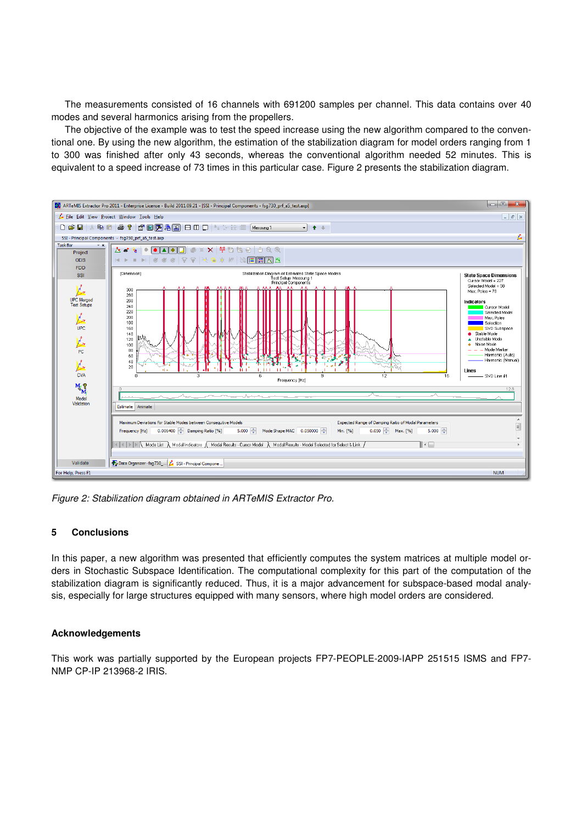The measurements consisted of 16 channels with 691200 samples per channel. This data contains over 40 modes and several harmonics arising from the propellers.

The objective of the example was to test the speed increase using the new algorithm compared to the conventional one. By using the new algorithm, the estimation of the stabilization diagram for model orders ranging from 1 to 300 was finished after only 43 seconds, whereas the conventional algorithm needed 52 minutes. This is equivalent to a speed increase of 73 times in this particular case. Figure 2 presents the stabilization diagram.



*Figure 2: Stabilization diagram obtained in ARTeMIS Extractor Pro.* 

# **5 Conclusions**

In this paper, a new algorithm was presented that efficiently computes the system matrices at multiple model orders in Stochastic Subspace Identification. The computational complexity for this part of the computation of the stabilization diagram is significantly reduced. Thus, it is a major advancement for subspace-based modal analysis, especially for large structures equipped with many sensors, where high model orders are considered.

# **Acknowledgements**

This work was partially supported by the European projects FP7-PEOPLE-2009-IAPP 251515 ISMS and FP7- NMP CP-IP 213968-2 IRIS.